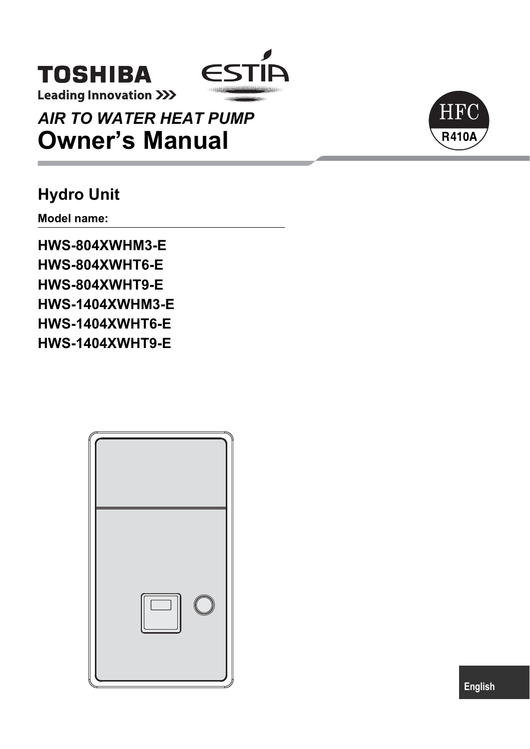

**Leading Innovation >>>** 

**TOSHIBA** 

*AIR TO WATER HEAT PUMP* **Owner's Manual**

## **Hydro Unit**

**Model name:**

**HWS-804XWHM3-E HWS-804XWHT6-E HWS-804XWHT9-E HWS-1404XWHM3-E HWS-1404XWHT6-E HWS-1404XWHT9-E**





**English**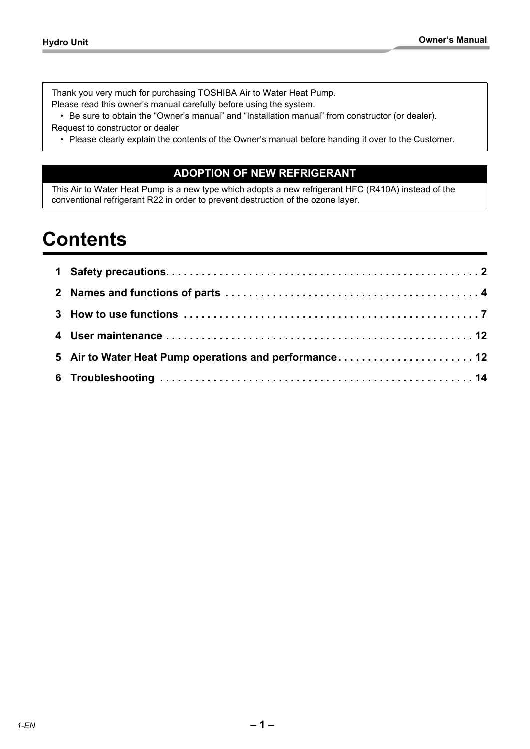Thank you very much for purchasing TOSHIBA Air to Water Heat Pump. Please read this owner's manual carefully before using the system.

• Be sure to obtain the "Owner's manual" and "Installation manual" from constructor (or dealer). Request to constructor or dealer

• Please clearly explain the contents of the Owner's manual before handing it over to the Customer.

## **ADOPTION OF NEW REFRIGERANT**

This Air to Water Heat Pump is a new type which adopts a new refrigerant HFC (R410A) instead of the conventional refrigerant R22 in order to prevent destruction of the ozone layer.

## **Contents**

| 5 Air to Water Heat Pump operations and performance 12 |  |
|--------------------------------------------------------|--|
|                                                        |  |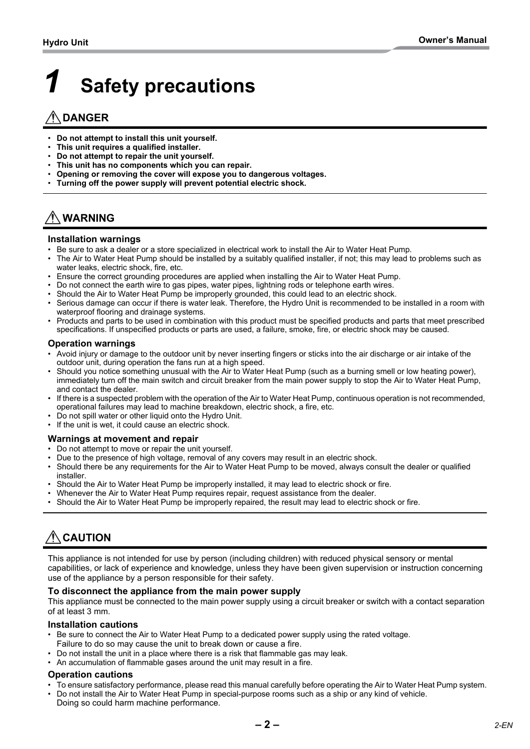# <span id="page-2-0"></span>*1* **Safety precautions**

## **DANGER**

- **Do not attempt to install this unit yourself.**
- **This unit requires a qualified installer.**
- **Do not attempt to repair the unit yourself.**
- **This unit has no components which you can repair.**
- **Opening or removing the cover will expose you to dangerous voltages.**
- **Turning off the power supply will prevent potential electric shock.**

## **WARNING**

#### **Installation warnings**

- Be sure to ask a dealer or a store specialized in electrical work to install the Air to Water Heat Pump.
- The Air to Water Heat Pump should be installed by a suitably qualified installer, if not; this may lead to problems such as water leaks, electric shock, fire, etc.
- Ensure the correct grounding procedures are applied when installing the Air to Water Heat Pump.
- Do not connect the earth wire to gas pipes, water pipes, lightning rods or telephone earth wires.
- Should the Air to Water Heat Pump be improperly grounded, this could lead to an electric shock.
- Serious damage can occur if there is water leak. Therefore, the Hydro Unit is recommended to be installed in a room with waterproof flooring and drainage systems.
- Products and parts to be used in combination with this product must be specified products and parts that meet prescribed specifications. If unspecified products or parts are used, a failure, smoke, fire, or electric shock may be caused.

#### **Operation warnings**

- Avoid injury or damage to the outdoor unit by never inserting fingers or sticks into the air discharge or air intake of the outdoor unit, during operation the fans run at a high speed.
- Should you notice something unusual with the Air to Water Heat Pump (such as a burning smell or low heating power), immediately turn off the main switch and circuit breaker from the main power supply to stop the Air to Water Heat Pump, and contact the dealer.
- If there is a suspected problem with the operation of the Air to Water Heat Pump, continuous operation is not recommended, operational failures may lead to machine breakdown, electric shock, a fire, etc.
- Do not spill water or other liquid onto the Hydro Unit.
- If the unit is wet, it could cause an electric shock.

## **Warnings at movement and repair**

- Do not attempt to move or repair the unit yourself.
- Due to the presence of high voltage, removal of any covers may result in an electric shock.
- Should there be any requirements for the Air to Water Heat Pump to be moved, always consult the dealer or qualified installer.
- Should the Air to Water Heat Pump be improperly installed, it may lead to electric shock or fire.
- Whenever the Air to Water Heat Pump requires repair, request assistance from the dealer.
- Should the Air to Water Heat Pump be improperly repaired, the result may lead to electric shock or fire.

## **CAUTION**

This appliance is not intended for use by person (including children) with reduced physical sensory or mental capabilities, or lack of experience and knowledge, unless they have been given supervision or instruction concerning use of the appliance by a person responsible for their safety.

#### **To disconnect the appliance from the main power supply**

This appliance must be connected to the main power supply using a circuit breaker or switch with a contact separation of at least 3 mm.

#### **Installation cautions**

- Be sure to connect the Air to Water Heat Pump to a dedicated power supply using the rated voltage. Failure to do so may cause the unit to break down or cause a fire.
- Do not install the unit in a place where there is a risk that flammable gas may leak.
- An accumulation of flammable gases around the unit may result in a fire.

#### **Operation cautions**

- To ensure satisfactory performance, please read this manual carefully before operating the Air to Water Heat Pump system.
- Do not install the Air to Water Heat Pump in special-purpose rooms such as a ship or any kind of vehicle.
- Doing so could harm machine performance.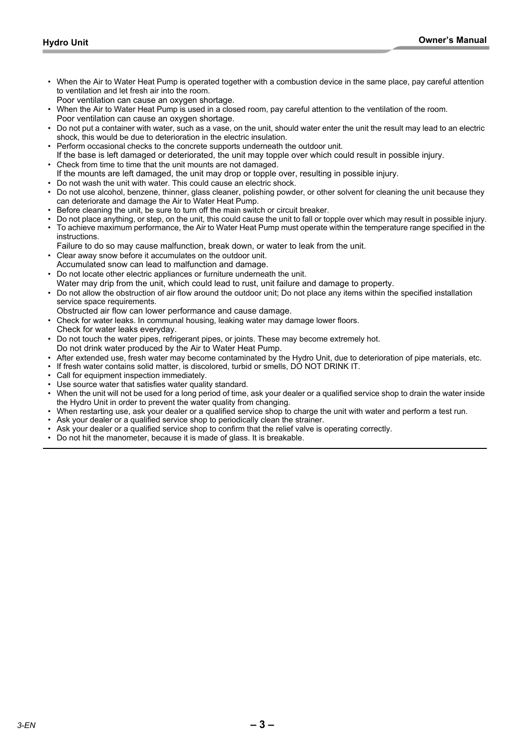- When the Air to Water Heat Pump is operated together with a combustion device in the same place, pay careful attention to ventilation and let fresh air into the room.
- Poor ventilation can cause an oxygen shortage.
- When the Air to Water Heat Pump is used in a closed room, pay careful attention to the ventilation of the room. Poor ventilation can cause an oxygen shortage.
- Do not put a container with water, such as a vase, on the unit, should water enter the unit the result may lead to an electric shock, this would be due to deterioration in the electric insulation.
- Perform occasional checks to the concrete supports underneath the outdoor unit.
- If the base is left damaged or deteriorated, the unit may topple over which could result in possible injury. • Check from time to time that the unit mounts are not damaged.
- If the mounts are left damaged, the unit may drop or topple over, resulting in possible injury.
- Do not wash the unit with water. This could cause an electric shock.
- Do not use alcohol, benzene, thinner, glass cleaner, polishing powder, or other solvent for cleaning the unit because they can deteriorate and damage the Air to Water Heat Pump.
- Before cleaning the unit, be sure to turn off the main switch or circuit breaker.
- Do not place anything, or step, on the unit, this could cause the unit to fall or topple over which may result in possible injury.
- To achieve maximum performance, the Air to Water Heat Pump must operate within the temperature range specified in the instructions.
- Failure to do so may cause malfunction, break down, or water to leak from the unit.
- Clear away snow before it accumulates on the outdoor unit. Accumulated snow can lead to malfunction and damage.
- Do not locate other electric appliances or furniture underneath the unit.
- Water may drip from the unit, which could lead to rust, unit failure and damage to property.
- Do not allow the obstruction of air flow around the outdoor unit; Do not place any items within the specified installation service space requirements.
- Obstructed air flow can lower performance and cause damage.
- Check for water leaks. In communal housing, leaking water may damage lower floors.
- Check for water leaks everyday.
- Do not touch the water pipes, refrigerant pipes, or joints. These may become extremely hot. Do not drink water produced by the Air to Water Heat Pump.
- After extended use, fresh water may become contaminated by the Hydro Unit, due to deterioration of pipe materials, etc.
- If fresh water contains solid matter, is discolored, turbid or smells, DO NOT DRINK IT.
- Call for equipment inspection immediately.
- Use source water that satisfies water quality standard.
- When the unit will not be used for a long period of time, ask your dealer or a qualified service shop to drain the water inside the Hydro Unit in order to prevent the water quality from changing.
- When restarting use, ask your dealer or a qualified service shop to charge the unit with water and perform a test run.
- Ask your dealer or a qualified service shop to periodically clean the strainer.
- Ask your dealer or a qualified service shop to confirm that the relief valve is operating correctly.
- Do not hit the manometer, because it is made of glass. It is breakable.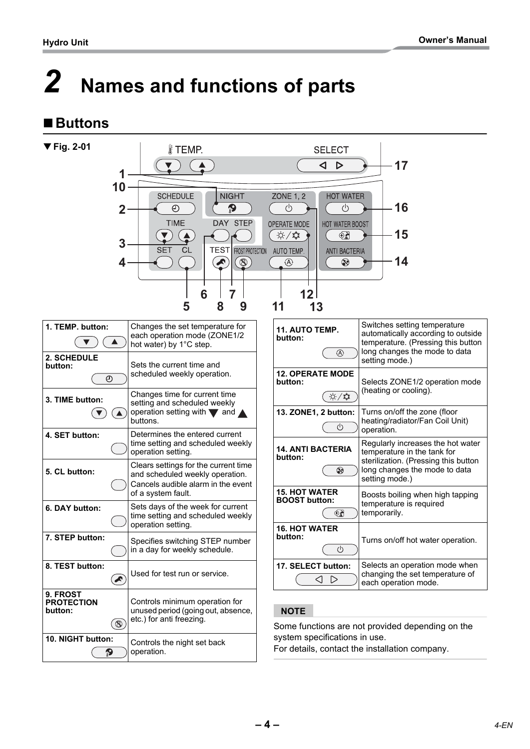## <span id="page-4-0"></span>*2* **Names and functions of parts**

## ■Buttons

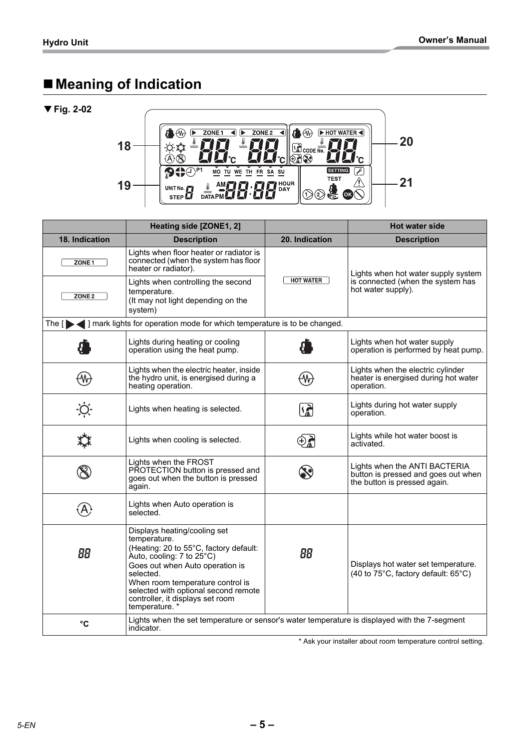## **Meaning of Indication**

## ▼ **Fig. 2-02**



|                   | Heating side [ZONE1, 2]                                                                                                                                                                                                                                                                               |                                                                                                      | <b>Hot water side</b>                                                      |  |  |  |
|-------------------|-------------------------------------------------------------------------------------------------------------------------------------------------------------------------------------------------------------------------------------------------------------------------------------------------------|------------------------------------------------------------------------------------------------------|----------------------------------------------------------------------------|--|--|--|
| 18. Indication    | <b>Description</b>                                                                                                                                                                                                                                                                                    | 20. Indication                                                                                       | <b>Description</b>                                                         |  |  |  |
| ZONE <sub>1</sub> | Lights when floor heater or radiator is<br>connected (when the system has floor<br>heater or radiator).                                                                                                                                                                                               |                                                                                                      | Lights when hot water supply system                                        |  |  |  |
| ZONE <sub>2</sub> | Lights when controlling the second<br>temperature.<br>(It may not light depending on the<br>system)                                                                                                                                                                                                   | <b>HOT WATER</b>                                                                                     | is connected (when the system has<br>hot water supply).                    |  |  |  |
| The $[$           | ] mark lights for operation mode for which temperature is to be changed.                                                                                                                                                                                                                              |                                                                                                      |                                                                            |  |  |  |
|                   | Lights during heating or cooling<br>operation using the heat pump.                                                                                                                                                                                                                                    |                                                                                                      | Lights when hot water supply<br>operation is performed by heat pump.       |  |  |  |
|                   | Lights when the electric heater, inside<br>the hydro unit, is energised during a<br>heating operation.                                                                                                                                                                                                | Lights when the electric cylinder<br>heater is energised during hot water<br>operation.              |                                                                            |  |  |  |
|                   | Lights when heating is selected.                                                                                                                                                                                                                                                                      | <u>(紀</u>                                                                                            | Lights during hot water supply<br>operation.                               |  |  |  |
|                   | Lights when cooling is selected.                                                                                                                                                                                                                                                                      | €Ų                                                                                                   | Lights while hot water boost is<br>activated.                              |  |  |  |
|                   | Lights when the FROST<br>PROTECTION button is pressed and<br>goes out when the button is pressed<br>again.                                                                                                                                                                                            | Lights when the ANTI BACTERIA<br>button is pressed and goes out when<br>the button is pressed again. |                                                                            |  |  |  |
|                   | Lights when Auto operation is<br>selected.                                                                                                                                                                                                                                                            |                                                                                                      |                                                                            |  |  |  |
| 88                | Displays heating/cooling set<br>temperature.<br>(Heating: 20 to 55°C, factory default:<br>Auto, cooling: 7 to 25°C)<br>Goes out when Auto operation is<br>selected.<br>When room temperature control is<br>selected with optional second remote<br>controller, it displays set room<br>temperature. * | 88                                                                                                   | Displays hot water set temperature.<br>(40 to 75°C, factory default: 65°C) |  |  |  |
| $\rm ^{\circ}C$   | Lights when the set temperature or sensor's water temperature is displayed with the 7-segment<br>indicator.                                                                                                                                                                                           |                                                                                                      |                                                                            |  |  |  |

\* Ask your installer about room temperature control setting.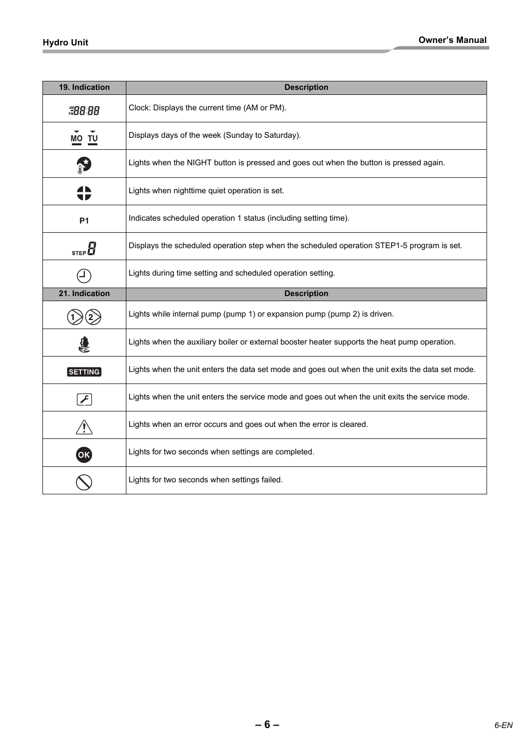| 19. Indication  | <b>Description</b>                                                                                |
|-----------------|---------------------------------------------------------------------------------------------------|
| #98.88          | Clock: Displays the current time (AM or PM).                                                      |
| MO TU           | Displays days of the week (Sunday to Saturday).                                                   |
|                 | Lights when the NIGHT button is pressed and goes out when the button is pressed again.            |
|                 | Lights when nighttime quiet operation is set.                                                     |
| P <sub>1</sub>  | Indicates scheduled operation 1 status (including setting time).                                  |
| STEP $\bm{H}$   | Displays the scheduled operation step when the scheduled operation STEP1-5 program is set.        |
|                 | Lights during time setting and scheduled operation setting.                                       |
|                 |                                                                                                   |
| 21. Indication  | <b>Description</b>                                                                                |
|                 | Lights while internal pump (pump 1) or expansion pump (pump 2) is driven.                         |
|                 | Lights when the auxiliary boiler or external booster heater supports the heat pump operation.     |
| $[$ SETTING $]$ | Lights when the unit enters the data set mode and goes out when the unit exits the data set mode. |
|                 | Lights when the unit enters the service mode and goes out when the unit exits the service mode.   |
|                 | Lights when an error occurs and goes out when the error is cleared.                               |
| $($ OK $)$      | Lights for two seconds when settings are completed.                                               |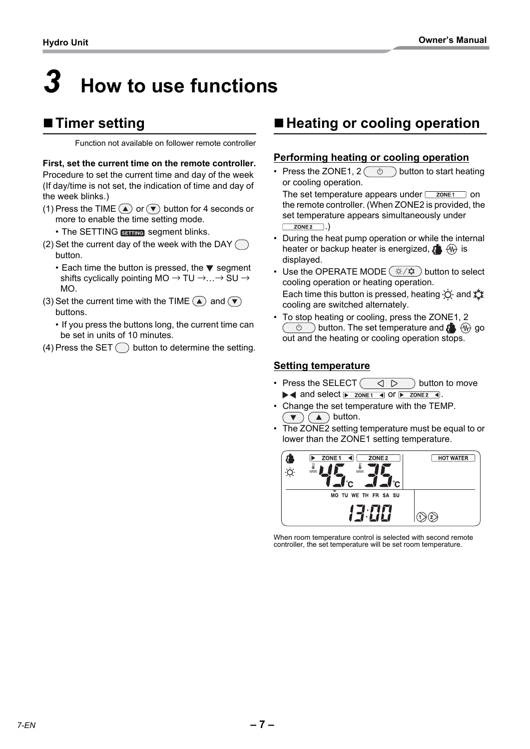# <span id="page-7-0"></span>*3* **How to use functions**

## ■ **Timer setting**

Function not available on follower remote controller

**First, set the current time on the remote controller.** Procedure to set the current time and day of the week (If day/time is not set, the indication of time and day of the week blinks.)

- (1) Press the TIME  $\textcircled{A}$  or  $\textcircled{r}$  button for 4 seconds or more to enable the time setting mode.
	- The SETTING **SHING** segment blinks.
- (2) Set the current day of the week with the DAY  $\bigcap$ button.
	- $\cdot$  Each time the button is pressed, the  $\nabla$  segment shifts cyclically pointing MO  $\rightarrow$  TU  $\rightarrow$   $\rightarrow$  SU  $\rightarrow$ MO.
- (3) Set the current time with the TIME  $(4)$  and  $(7)$ buttons.
	- If you press the buttons long, the current time can be set in units of 10 minutes.
- (4) Press the SET  $\bigcirc$  button to determine the setting.

## ■ Heating or cooling operation

## **Performing heating or cooling operation**

• Press the ZONE1,  $2(\overline{\otimes})$  button to start heating or cooling operation. The set temperature appears under  $\sqrt{\frac{20N E_1}{n}}$  on the remote controller. (When ZONE2 is provided, the

set temperature appears simultaneously under  $ZONE2$  .)

- During the heat pump operation or while the internal heater or backup heater is energized,  $\mathbf{f}$   $\oplus$   $\oplus$  is displayed.
- Use the OPERATE MODE  $\left(\frac{\infty}{4}+\frac{\infty}{4}\right)$  button to select cooling operation or heating operation. Each time this button is pressed, heating  $\Diamond$  and  $\Diamond$ cooling are switched alternately.
- To stop heating or cooling, press the ZONE1, 2  $\circledcirc$  button. The set temperature and  $\bullet$   $\circledcirc$  go out and the heating or cooling operation stops.

## **Setting temperature**

- Press the SELECT  $\left(\begin{array}{cc} \Box \ \Box \end{array}\right)$  button to move  $\blacktriangleright$  and select  $\blacktriangleright$  zones and  $\blacktriangleright$  zones and  $\blacktriangleright$  zones and  $\blacktriangleright$  and  $\blacktriangleright$  zones and  $\blacktriangleright$  zones and  $\blacktriangleright$  zones and  $\blacktriangleright$  and  $\blacktriangleright$  and  $\blacktriangleright$  zones and  $\blacktriangleright$  and  $\blacktriangleright$  and  $\blacktriangleright$  and  $\blacktri$
- Change the set temperature with the TEMP.  $\blacktriangledown$   $(\blacktriangle)$  button.
- The ZONE2 setting temperature must be equal to or lower than the ZONE1 setting temperature.



When room temperature control is selected with second remote controller, the set temperature will be set room temperature.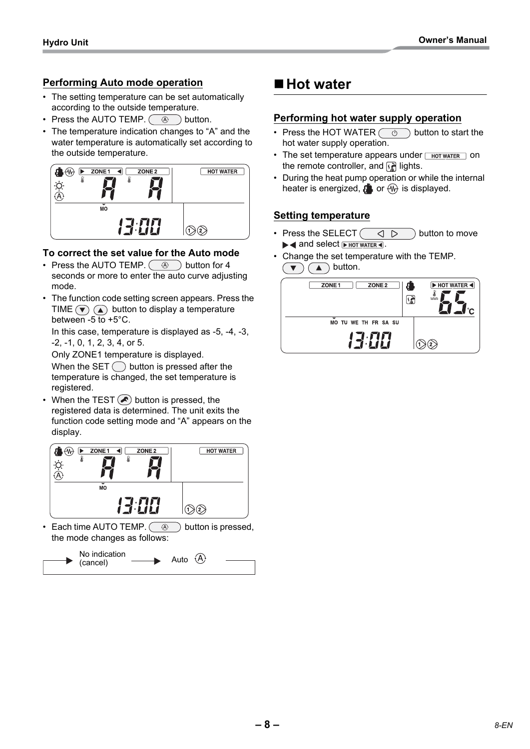## **Performing Auto mode operation**

- The setting temperature can be set automatically according to the outside temperature.
- Press the AUTO TEMP.  $(\circledast \circledast)$  button.
- The temperature indication changes to "A" and the water temperature is automatically set according to the outside temperature.



## **To correct the set value for the Auto mode**

- Press the AUTO TEMP.  $\left(\begin{array}{c} \circ \\ \circ \circ \end{array}\right)$  button for 4 seconds or more to enter the auto curve adjusting mode.
- The function code setting screen appears. Press the TIME  $\left(\overline{\bullet}\right)$   $\left(\overline{\bullet}\right)$  button to display a temperature between  $-5$  to  $+5^{\circ}$ C.

In this case, temperature is displayed as -5, -4, -3, -2, -1, 0, 1, 2, 3, 4, or 5.

Only ZONE1 temperature is displayed.

When the SET  $\bigcap$  button is pressed after the temperature is changed, the set temperature is registered.

When the TEST  $\left( \bigwedge$  button is pressed, the registered data is determined. The unit exits the function code setting mode and "A" appears on the display.



Each time AUTO TEMP.  $\circled{a}$  button is pressed, the mode changes as follows:



## ■ Hot water

## **Performing hot water supply operation**

- Press the HOT WATER  $\circled{b}$  button to start the hot water supply operation.
- The set temperature appears under  $\sqrt{\frac{1}{1000}}$  and  $\sqrt{\frac{1}{1000}}$  on the remote controller, and  $\sqrt{\frac{2}{n}}$  lights.
- During the heat pump operation or while the internal heater is energized,  $\mathbf{a}$  or  $\mathbf{w}$  is displayed.

## **Setting temperature**

- Press the SELECT  $\left(\begin{array}{cc} \Diamond & \Box \end{array}\right)$  button to move  $\blacktriangleright$  and select  $\blacktriangleright$  HOT WATER 4.
- Change the set temperature with the TEMP.  $\overline{\bullet}$   $\overline{\bullet}$   $\bullet$  button.

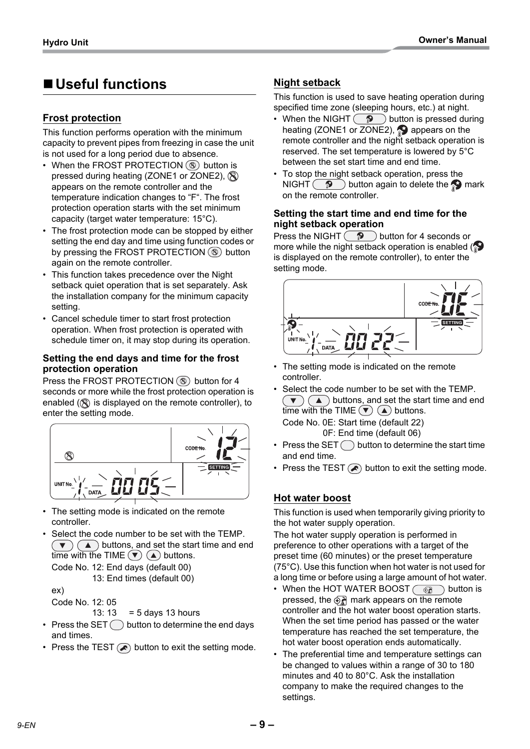## **Useful functions**

## **Frost protection**

This function performs operation with the minimum capacity to prevent pipes from freezing in case the unit is not used for a long period due to absence.

- When the FROST PROTECTION  $\circledR$  button is pressed during heating (ZONE1 or ZONE2),  $\otimes$ appears on the remote controller and the temperature indication changes to "F". The frost protection operation starts with the set minimum capacity (target water temperature: 15°C).
- The frost protection mode can be stopped by either setting the end day and time using function codes or by pressing the FROST PROTECTION  $\circled{\mathbb{R}}$  button again on the remote controller.
- This function takes precedence over the Night setback quiet operation that is set separately. Ask the installation company for the minimum capacity setting.
- Cancel schedule timer to start frost protection operation. When frost protection is operated with schedule timer on, it may stop during its operation.

#### **Setting the end days and time for the frost protection operation**

Press the FROST PROTECTION  $\circledR$  button for 4 seconds or more while the frost protection operation is enabled  $(\mathbb{R})$  is displayed on the remote controller), to enter the setting mode.



- The setting mode is indicated on the remote controller.
- Select the code number to be set with the TEMP.  $(\bullet)$  ( $\blacktriangle$ ) buttons, and set the start time and end time with the TIME  $(\blacktriangledown)$  ( $\blacktriangle$ ) buttons.

Code No. 12: End days (default 00) 13: End times (default 00)

ex)

Code No. 12: 05

- 13:  $13 = 5$  days 13 hours
- Press the SET  $\bigcirc$  button to determine the end days and times.
- Press the TEST  $\circled{P}$  button to exit the setting mode.

## **Night setback**

This function is used to save heating operation during specified time zone (sleeping hours, etc.) at night.

- When the NIGHT  $\circled{?}$  button is pressed during heating (ZONE1 or ZONE2),  $\bullet$  appears on the remote controller and the night setback operation is reserved. The set temperature is lowered by 5°C between the set start time and end time.
- To stop the night setback operation, press the NIGHT  $\circledcirc$  button again to delete the mark on the remote controller.

#### **Setting the start time and end time for the night setback operation**

Press the NIGHT  $\binom{9}{2}$  button for 4 seconds or more while the night setback operation is enabled ( $\bullet$ ) is displayed on the remote controller), to enter the setting mode.



- The setting mode is indicated on the remote controller.
- Select the code number to be set with the TEMP.  $\blacktriangledown$   $\blacktriangledown$   $\blacktriangle$   $\blacktriangle$   $\blacktriangleright$  buttons, and set the start time and end time with the TIME  $(\blacktriangledown)$  ( $\blacktriangle$ ) buttons. Code No. 0E: Start time (default 22) 0F: End time (default 06)
- Press the SET  $\bigcap$  button to determine the start time and end time.
- Press the TEST  $\circledast$  button to exit the setting mode.

## **Hot water boost**

This function is used when temporarily giving priority to the hot water supply operation.

The hot water supply operation is performed in preference to other operations with a target of the preset time (60 minutes) or the preset temperature (75°C). Use this function when hot water is not used for a long time or before using a large amount of hot water.

- When the HOT WATER BOOST  $\widehat{\mathbb{G}_{\mathbb{Z}}}$  button is pressed, the  $\widehat{\Theta_n}$  mark appears on the remote controller and the hot water boost operation starts. When the set time period has passed or the water temperature has reached the set temperature, the hot water boost operation ends automatically.
- The preferential time and temperature settings can be changed to values within a range of 30 to 180 minutes and 40 to 80°C. Ask the installation company to make the required changes to the settings.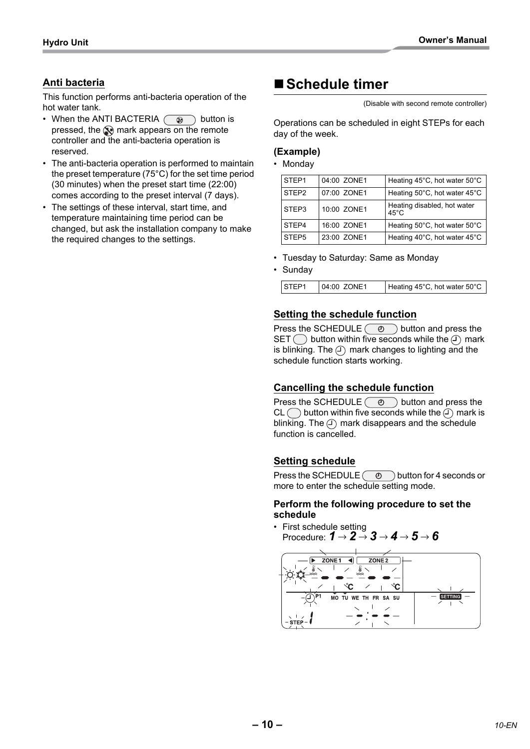## **Anti bacteria**

This function performs anti-bacteria operation of the hot water tank.

- When the ANTI BACTERIA  $\circledR$  button is pressed, the  $\circledast$  mark appears on the remote controller and the anti-bacteria operation is reserved.
- The anti-bacteria operation is performed to maintain the preset temperature (75°C) for the set time period (30 minutes) when the preset start time (22:00) comes according to the preset interval (7 days).
- The settings of these interval, start time, and temperature maintaining time period can be changed, but ask the installation company to make the required changes to the settings.

## ■ Schedule timer

(Disable with second remote controller)

Operations can be scheduled in eight STEPs for each day of the week.

#### **(Example)**

• Monday

| STEP1             | 04:00 ZONE1 | Heating 45°C, hot water 50°C                  |
|-------------------|-------------|-----------------------------------------------|
| STEP <sub>2</sub> | 07:00 ZONE1 | Heating 50°C, hot water 45°C                  |
| STEP3             | 10:00 ZONE1 | Heating disabled, hot water<br>$45^{\circ}$ C |
| STEP4             | 16:00 ZONE1 | Heating 50°C, hot water 50°C                  |
| STFP <sub>5</sub> | 23:00 ZONE1 | Heating 40°C, hot water 45°C                  |

- Tuesday to Saturday: Same as Monday
- Sunday

| STEP1 | 04:00 ZONE1 | Heating 45°C, hot water 50°C |
|-------|-------------|------------------------------|

## **Setting the schedule function**

Press the SCHEDULE  $\circledcirc$  button and press the SET  $\bigcirc$  button within five seconds while the  $\bigcirc$  mark is blinking. The  $\circled{1}$  mark changes to lighting and the schedule function starts working.

## **Cancelling the schedule function**

Press the SCHEDULE  $\circledcirc$  button and press the  $CL$  button within five seconds while the  $\widehat{I}$  mark is blinking. The  $\circled{1}$  mark disappears and the schedule function is cancelled.

## **Setting schedule**

Press the SCHEDULE  $\circledcirc$  button for 4 seconds or more to enter the schedule setting mode.

#### **Perform the following procedure to set the schedule**

• First schedule setting Procedure: *1* → *2* → *3* → *4* → *5* → *6*

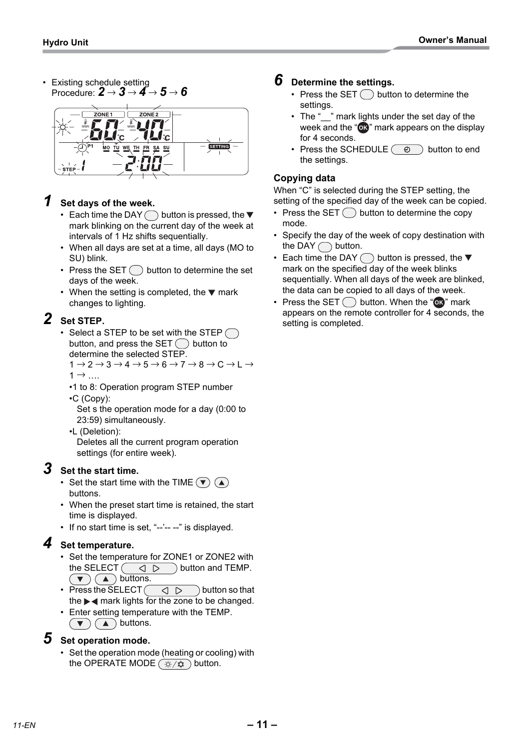• Existing schedule setting Procedure: *2* → *3* → *4* → *5* → *6*



## *1* **Set days of the week.**

- Each time the DAY  $\bigcirc$  button is pressed, the  $\blacktriangledown$ mark blinking on the current day of the week at intervals of 1 Hz shifts sequentially.
- When all days are set at a time, all days (MO to SU) blink.
- Press the SET  $\bigcirc$  button to determine the set days of the week.
- When the setting is completed, the  $\nabla$  mark changes to lighting.

## *2* **Set STEP.**

- Select a STEP to be set with the STEP  $\bigcap$ button, and press the  $SET()$  button to determine the selected STEP.  $1 \rightarrow 2 \rightarrow 3 \rightarrow 4 \rightarrow 5 \rightarrow 6 \rightarrow 7 \rightarrow 8 \rightarrow C \rightarrow L \rightarrow$ 
	- $1 \rightarrow ...$
	- •1 to 8: Operation program STEP number •C (Copy):

Set s the operation mode for a day (0:00 to 23:59) simultaneously.

•L (Deletion):

Deletes all the current program operation settings (for entire week).

## *3* **Set the start time.**

- Set the start time with the TIME  $(\overline{\bullet})$  (A) buttons.
- When the preset start time is retained, the start time is displayed.
- If no start time is set, "--'-- --" is displayed.

## *4* **Set temperature.**

- Set the temperature for ZONE1 or ZONE2 with the SELECT  $\left(\begin{array}{cc} \text{d} & \text{d} \\ \text{d} & \text{d} \end{array}\right)$  button and TEMP.  $(\bullet)$   $(\bullet)$  buttons.
- Press the SELECT button so that the  $\blacktriangleright$   $\blacktriangleleft$  mark lights for the zone to be changed.
- Enter setting temperature with the TEMP.  $(\bullet)$   $(\bullet)$  buttons.

## *5* **Set operation mode.**

• Set the operation mode (heating or cooling) with the OPERATE MODE  $\left(\frac{\alpha}{2}+\alpha\right)$  button.

## *6* **Determine the settings.**

- Press the SET  $\bigcap$  button to determine the settings.
- The " " mark lights under the set day of the week and the " $\alpha$ " mark appears on the display for 4 seconds.
- Press the SCHEDULE  $\circledcirc$  button to end the settings.

## **Copying data**

When "C" is selected during the STEP setting, the setting of the specified day of the week can be copied.

- Press the SET  $\bigcirc$  button to determine the copy mode.
- Specify the day of the week of copy destination with the DAY  $\bigcap$  button.
- Each time the DAY  $\bigcap$  button is pressed, the  $\blacktriangledown$ mark on the specified day of the week blinks sequentially. When all days of the week are blinked, the data can be copied to all days of the week.
- Press the SET  $\bigcirc$  button. When the " $\circledR$ " mark appears on the remote controller for 4 seconds, the setting is completed.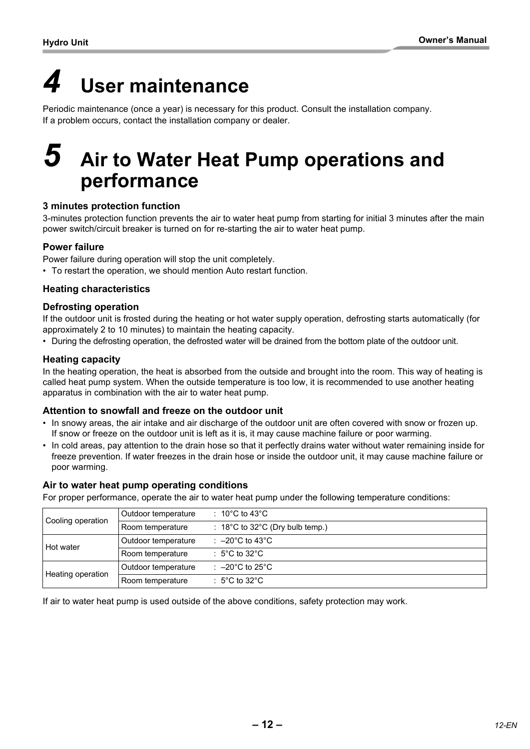## <span id="page-12-0"></span>*4* **User maintenance**

Periodic maintenance (once a year) is necessary for this product. Consult the installation company. If a problem occurs, contact the installation company or dealer.

## <span id="page-12-1"></span>*5* **Air to Water Heat Pump operations and performance**

## **3 minutes protection function**

3-minutes protection function prevents the air to water heat pump from starting for initial 3 minutes after the main power switch/circuit breaker is turned on for re-starting the air to water heat pump.

## **Power failure**

Power failure during operation will stop the unit completely.

• To restart the operation, we should mention Auto restart function.

## **Heating characteristics**

#### **Defrosting operation**

If the outdoor unit is frosted during the heating or hot water supply operation, defrosting starts automatically (for approximately 2 to 10 minutes) to maintain the heating capacity.

• During the defrosting operation, the defrosted water will be drained from the bottom plate of the outdoor unit.

## **Heating capacity**

In the heating operation, the heat is absorbed from the outside and brought into the room. This way of heating is called heat pump system. When the outside temperature is too low, it is recommended to use another heating apparatus in combination with the air to water heat pump.

## **Attention to snowfall and freeze on the outdoor unit**

- In snowy areas, the air intake and air discharge of the outdoor unit are often covered with snow or frozen up. If snow or freeze on the outdoor unit is left as it is, it may cause machine failure or poor warming.
- In cold areas, pay attention to the drain hose so that it perfectly drains water without water remaining inside for freeze prevention. If water freezes in the drain hose or inside the outdoor unit, it may cause machine failure or poor warming.

#### **Air to water heat pump operating conditions**

For proper performance, operate the air to water heat pump under the following temperature conditions:

| Cooling operation | Outdoor temperature | : 10 $^{\circ}$ C to 43 $^{\circ}$ C       |
|-------------------|---------------------|--------------------------------------------|
|                   | Room temperature    | $\therefore$ 18°C to 32°C (Dry bulb temp.) |
| Hot water         | Outdoor temperature | : $-20^{\circ}$ C to 43 $^{\circ}$ C       |
|                   | Room temperature    | : 5°C to 32°C                              |
| Heating operation | Outdoor temperature | : $-20^{\circ}$ C to 25 $^{\circ}$ C       |
|                   | Room temperature    | : 5°C to 32°C                              |

If air to water heat pump is used outside of the above conditions, safety protection may work.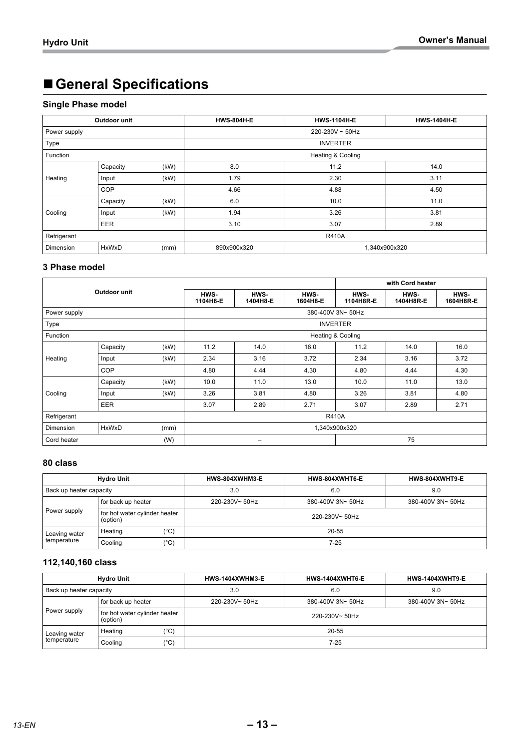## **General Specifications**

## **Single Phase model**

|                                   | Outdoor unit |      | <b>HWS-804H-E</b>            | <b>HWS-1104H-E</b> | <b>HWS-1404H-E</b> |  |
|-----------------------------------|--------------|------|------------------------------|--------------------|--------------------|--|
| Power supply                      |              |      | 220-230V ~ 50Hz              |                    |                    |  |
| Type                              |              |      |                              | <b>INVERTER</b>    |                    |  |
| Function                          |              |      |                              | Heating & Cooling  |                    |  |
|                                   | Capacity     | (kW) | 8.0                          | 11.2               | 14.0               |  |
| Heating                           | Input        | (KW) | 1.79                         | 2.30               | 3.11               |  |
|                                   | COP          |      | 4.66                         | 4.88               | 4.50               |  |
|                                   | Capacity     | (kW) | 6.0                          | 10.0               | 11.0               |  |
| Cooling                           | Input        | (kW) | 1.94                         | 3.26               | 3.81               |  |
|                                   | <b>EER</b>   |      | 3.10                         | 3.07               | 2.89               |  |
| Refrigerant                       |              |      | <b>R410A</b>                 |                    |                    |  |
| <b>HxWxD</b><br>Dimension<br>(mm) |              |      | 890x900x320<br>1,340x900x320 |                    |                    |  |

#### **3 Phase model**

|                            |              |               |                  |                  |                  |                   | with Cord heater  |                   |
|----------------------------|--------------|---------------|------------------|------------------|------------------|-------------------|-------------------|-------------------|
|                            | Outdoor unit |               | HWS-<br>1104H8-E | HWS-<br>1404H8-E | HWS-<br>1604H8-E | HWS-<br>1104H8R-E | HWS-<br>1404H8R-E | HWS-<br>1604H8R-E |
| Power supply               |              |               |                  |                  |                  | 380-400V 3N~ 50Hz |                   |                   |
| Type                       |              |               |                  |                  |                  | <b>INVERTER</b>   |                   |                   |
| Function                   |              |               |                  |                  |                  | Heating & Cooling |                   |                   |
|                            | Capacity     | (kW)          | 11.2             | 14.0             | 16.0             | 11.2              | 14.0              | 16.0              |
| Heating                    | Input        | (kW)          | 2.34             | 3.16             | 3.72             | 2.34              | 3.16              | 3.72              |
|                            | COP          |               | 4.80             | 4.44             | 4.30             | 4.80              | 4.44              | 4.30              |
|                            | Capacity     | (kW)          | 10.0             | 11.0             | 13.0             | 10.0              | 11.0              | 13.0              |
| Cooling                    | Input        | (kW)          | 3.26             | 3.81             | 4.80             | 3.26              | 3.81              | 4.80              |
|                            | <b>EER</b>   |               | 3.07             | 2.89             | 2.71             | 3.07              | 2.89              | 2.71              |
| Refrigerant                |              |               | <b>R410A</b>     |                  |                  |                   |                   |                   |
| Dimension<br>HxWxD<br>(mm) |              | 1,340x900x320 |                  |                  |                  |                   |                   |                   |
| Cord heater                |              | (W)           | 75<br>-          |                  |                  |                   |                   |                   |

## **80 class**

| <b>Hydro Unit</b>       |                                           |      | HWS-804XWHT6-E<br>HWS-804XWHM3-E |                   | HWS-804XWHT9-E    |  |
|-------------------------|-------------------------------------------|------|----------------------------------|-------------------|-------------------|--|
| Back up heater capacity |                                           |      | 3.0                              | 6.0               | 9.0               |  |
|                         | for back up heater                        |      | 220-230V~50Hz                    | 380-400V 3N~ 50Hz | 380-400V 3N~ 50Hz |  |
| Power supply            | for hot water cylinder heater<br>(option) |      | 220-230V~50Hz                    |                   |                   |  |
| Leaving water           | Heating                                   | (°C) | 20-55                            |                   |                   |  |
| temperature             | Cooling                                   | (°C) | $7-25$                           |                   |                   |  |

## **112,140,160 class**

|                         | <b>Hydro Unit</b>                         | HWS-1404XWHM3-E | <b>HWS-1404XWHT9-E</b> |                   |
|-------------------------|-------------------------------------------|-----------------|------------------------|-------------------|
| Back up heater capacity |                                           | 3.0             | 6.0                    | 9.0               |
|                         | for back up heater                        | 220-230V~50Hz   | 380-400V 3N~ 50Hz      | 380-400V 3N~ 50Hz |
| Power supply            | for hot water cylinder heater<br>(option) | 220-230V~50Hz   |                        |                   |
| Leaving water           | $^{\prime\circ}$ C)<br>Heating            | 20-55           |                        |                   |
| temperature             | $^{\prime\circ}$ C)<br>Cooling            | 7-25            |                        |                   |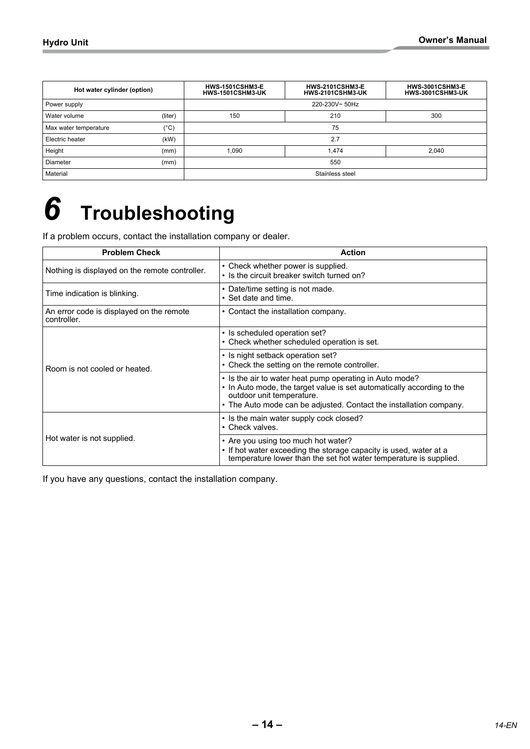| Hot water cylinder (option) |               | <b>HWS-1501CSHM3-E</b><br>HWS-1501CSHM3-UK | <b>HWS-3001CSHM3-E</b><br>HWS-3001CSHM3-UK |       |  |
|-----------------------------|---------------|--------------------------------------------|--------------------------------------------|-------|--|
| Power supply                |               | 220-230V~50Hz                              |                                            |       |  |
| Water volume                | (liter)       | 150                                        | 210                                        | 300   |  |
| Max water temperature       | $(^{\circ}C)$ |                                            | 75                                         |       |  |
| Electric heater             | (kW)          |                                            | 2.7                                        |       |  |
| Height                      | (mm)          | 1,090                                      | 1.474                                      | 2.040 |  |
| Diameter                    | (mm)          |                                            | 550                                        |       |  |
| Material                    |               |                                            | Stainless steel                            |       |  |

## <span id="page-14-0"></span>*6* **Troubleshooting**

If a problem occurs, contact the installation company or dealer.

| <b>Problem Check</b>                                    | <b>Action</b>                                                                                                                                                                                                                        |
|---------------------------------------------------------|--------------------------------------------------------------------------------------------------------------------------------------------------------------------------------------------------------------------------------------|
| Nothing is displayed on the remote controller.          | • Check whether power is supplied.<br>• Is the circuit breaker switch turned on?                                                                                                                                                     |
| Time indication is blinking.                            | • Date/time setting is not made.<br>• Set date and time.                                                                                                                                                                             |
| An error code is displayed on the remote<br>controller. | • Contact the installation company.                                                                                                                                                                                                  |
|                                                         | • Is scheduled operation set?<br>• Check whether scheduled operation is set.                                                                                                                                                         |
| Room is not cooled or heated.                           | • Is night setback operation set?<br>• Check the setting on the remote controller.                                                                                                                                                   |
|                                                         | • Is the air to water heat pump operating in Auto mode?<br>• In Auto mode, the target value is set automatically according to the<br>outdoor unit temperature.<br>• The Auto mode can be adjusted. Contact the installation company. |
|                                                         | • Is the main water supply cock closed?<br>• Check valves.                                                                                                                                                                           |
| Hot water is not supplied.                              | • Are you using too much hot water?<br>• If hot water exceeding the storage capacity is used, water at a<br>temperature lower than the set hot water temperature is supplied.                                                        |

If you have any questions, contact the installation company.